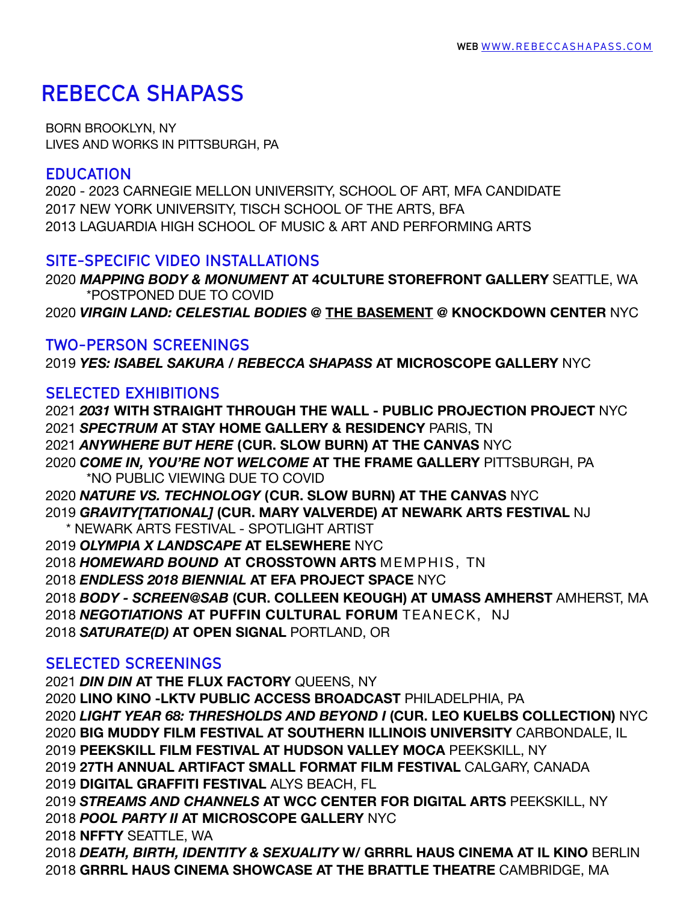# **REBECCA SHAPASS**

BORN BROOKLYN, NY LIVES AND WORKS IN PITTSBURGH, PA

#### **EDUCATION**

2020 - 2023 CARNEGIE MELLON UNIVERSITY, SCHOOL OF ART, MFA CANDIDATE 2017 NEW YORK UNIVERSITY, TISCH SCHOOL OF THE ARTS, BFA 2013 LAGUARDIA HIGH SCHOOL OF MUSIC & ART AND PERFORMING ARTS

#### **SITE-SPECIFIC VIDEO INSTALLATIONS**

 *MAPPING BODY & MONUMENT* **AT 4CULTURE STOREFRONT GALLERY** SEATTLE, WA \*POSTPONED DUE TO COVID *VIRGIN LAND: CELESTIAL BODIES @* **THE BASEMENT @ KNOCKDOWN CENTER** NYC

## **TWO-PERSON SCREENINGS**

*YES: ISABEL SAKURA / REBECCA SHAPASS* **AT MICROSCOPE GALLERY** NYC

## **SELECTED EXHIBITIONS**

 *2031* **WITH STRAIGHT THROUGH THE WALL - PUBLIC PROJECTION PROJECT** NYC *SPECTRUM* **AT STAY HOME GALLERY & RESIDENCY** PARIS, TN *ANYWHERE BUT HERE* **(CUR. SLOW BURN) AT THE CANVAS** NYC *COME IN, YOU'RE NOT WELCOME* **AT THE FRAME GALLERY** PITTSBURGH, PA \*NO PUBLIC VIEWING DUE TO COVID *NATURE VS. TECHNOLOGY* **(CUR. SLOW BURN) AT THE CANVAS** NYC *GRAVITY[TATIONAL]* **(CUR. MARY VALVERDE) AT NEWARK ARTS FESTIVAL** NJ \* NEWARK ARTS FESTIVAL - SPOTLIGHT ARTIST *OLYMPIA X LANDSCAPE* **AT ELSEWHERE** NYC *HOMEWARD BOUND* **AT CROSSTOWN ARTS** MEMPHIS, TN *ENDLESS 2018 BIENNIAL* **AT EFA PROJECT SPACE** NYC *BODY - SCREEN@SAB* **(CUR. COLLEEN KEOUGH) AT UMASS AMHERST** AMHERST, MA *NEGOTIATIONS* **AT PUFFIN CULTURAL FORUM** TEANECK, NJ *SATURATE(D)* **AT OPEN SIGNAL** PORTLAND, OR

## **SELECTED SCREENINGS**

*DIN DIN* **AT THE FLUX FACTORY** QUEENS, NY

**LINO KINO -LKTV PUBLIC ACCESS BROADCAST** PHILADELPHIA, PA

*LIGHT YEAR 68: THRESHOLDS AND BEYOND I* **(CUR. LEO KUELBS COLLECTION)** NYC **BIG MUDDY FILM FESTIVAL AT SOUTHERN ILLINOIS UNIVERSITY** CARBONDALE, IL

**PEEKSKILL FILM FESTIVAL AT HUDSON VALLEY MOCA** PEEKSKILL, NY

**27TH ANNUAL ARTIFACT SMALL FORMAT FILM FESTIVAL** CALGARY, CANADA

**DIGITAL GRAFFITI FESTIVAL** ALYS BEACH, FL

*STREAMS AND CHANNELS* **AT WCC CENTER FOR DIGITAL ARTS** PEEKSKILL, NY *POOL PARTY II* **AT MICROSCOPE GALLERY** NYC

**NFFTY** SEATTLE, WA

 *DEATH, BIRTH, IDENTITY & SEXUALITY* **W/ GRRRL HAUS CINEMA AT IL KINO** BERLIN **GRRRL HAUS CINEMA SHOWCASE AT THE BRATTLE THEATRE** CAMBRIDGE, MA